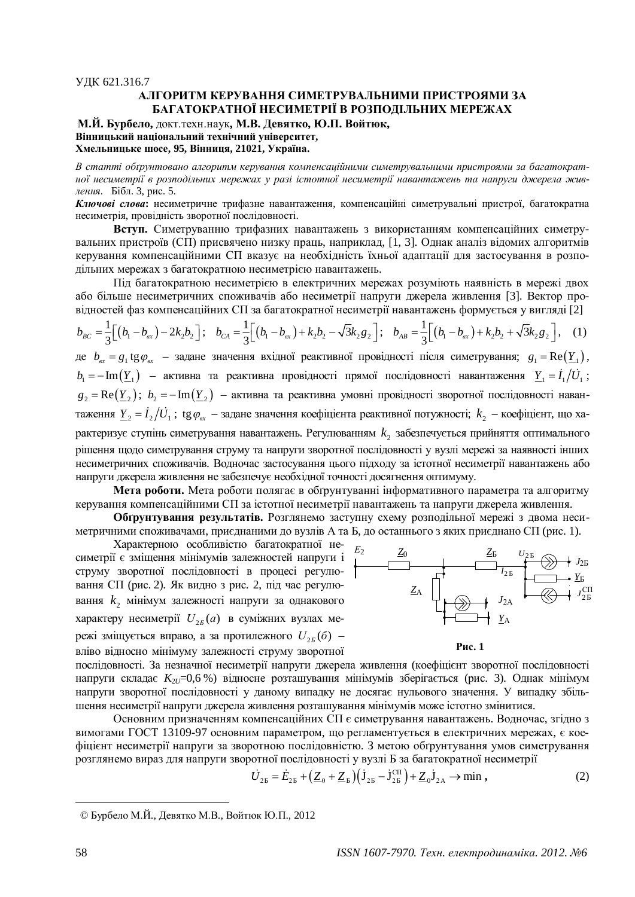## ɍȾɄ 621.316.7 АЛГОРИТМ КЕРУВАННЯ СИМЕТРУВАЛЬНИМИ ПРИСТРОЯМИ ЗА **БАГАТОКРАТНОЇ НЕСИМЕТРІЇ В РОЗПОДІЛЬНИХ МЕРЕЖАХ**

**М.Й. Бурбело, докт.техн.наук, М.В. Девятко, Ю.П. Войтюк,** Вінницький національний технічний університет. **ɏɦɟɥɶɧɢɰɶɤɟɲɨɫɟ, 95, ȼɿɧɧɢɰɹ, 21021, ɍɤɪɚʀɧɚ.**

В статті обґрунтовано алгоритм керування компенсаційними симетрувальними пристроями за багатократної несиметрії в розподільних мережах у разі істотної несиметрії навантажень та напруги джерела жив*лення.* Бібл. 3, рис. 5.

Ключові слова: несиметричне трифазне навантаження, компенсаційні симетрувальні пристрої, багатократна несиметрія, провідність зворотної послідовності.

Вступ. Симетруванню трифазних навантажень з використанням компенсаційних симетрувальних пристроїв (СП) присвячено низку праць, наприклад, [1, 3]. Однак аналіз відомих алгоритмів керування компенсаційними СП вказує на необхідність їхньої адаптації для застосування в розподільних мережах з багатократною несиметрією навантажень.

Під багатократною несиметрією в електричних мережах розуміють наявність в мережі двох або більше несиметричних споживачів або несиметрії напруги джерела живлення [3]. Вектор провідностей фаз компенсаційних СП за багатократної несиметрії навантажень формується у вигляді [2]

$$
b_{BC} = \frac{1}{3} \Big[ (b_1 - b_{ex}) - 2k_2 b_2 \Big]; \quad b_{CA} = \frac{1}{3} \Big[ (b_1 - b_{ex}) + k_2 b_2 - \sqrt{3} k_2 g_2 \Big]; \quad b_{AB} = \frac{1}{3} \Big[ (b_1 - b_{ex}) + k_2 b_2 + \sqrt{3} k_2 g_2 \Big], \quad (1)
$$

де  $b_{ex} = g_1$ tg $\varphi_{ex}$  — задане значення вхідної реактивної провідності після симетрування;  $g_1 = \text{Re}(\underline{Y}_1)$ ,  $b_1 = -\text{Im}(\underline{Y}_1)$  – активна та реактивна провідності прямої послідовності навантаження  $\underline{Y}_1 = \dot{I}_1/\dot{U}_1$ ;  $g_2 = \text{Re}(\underline{Y}_2); b_2 = -\text{Im}(\underline{Y}_2)$  – активна та реактивна умовні провідності зворотної послідовності навантаження  $\underline{Y}_2=\dot{I}_2/\dot{U}_1$ ; tg $\varphi_{\rm ex}$  – задане значення коефіцієнта реактивної потужності;  $k_2$  – коефіцієнт, що характеризує ступінь симетрування навантажень. Регулюванням  $k_{\text{2}}$  забезпечується прийняття оптимального рішення щодо симетрування струму та напруги зворотної послідовності у вузлі мережі за наявності інших несиметричних споживачів. Водночас застосування цього підходу за істотної несиметрії навантажень або напруги джерела живлення не забезпечує необхідної точності досягнення оптимуму.

**Мета роботи.** Мета роботи полягає в обтрунтуванні інформативного параметра та алгоритму керування компенсаційними СП за істотної несиметрії навантажень та напруги джерела живлення.

Обгрунтування результатів. Розглянемо заступну схему розподільної мережі з двома несиметричними споживачами, приєднаними до вузлів А та Б, до останнього з яких приєднано СП (рис. 1).

Характерною особливістю багатократної несиметрії є зміщення мінімумів залежностей напруги і струму зворотної послідовності в процесі регулювання СП (рис. 2). Як видно з рис. 2, під час регулювання  $k_2$  мінімум залежності напруги за однакового характеру несиметрії  $U_{2E}(a)$  в суміжних вузлах мережі зміщується вправо, а за протилежного  $U_{2B}(\delta)$  – вліво відносно мінімуму залежності струму зворотної





послідовності. За незначної несиметрії напруги джерела живлення (коефіцієнт зворотної послідовності напруги складає K<sub>2U</sub>=0,6 %) відносне розташування мінімумів зберігається (рис. 3). Однак мінімум напруги зворотної послідовності у даному випадку не досягає нульового значення. У випадку збільшення несиметрії напруги джерела живлення розташування мінімумів може істотно змінитися.

Основним призначенням компенсаційних СП є симетрування навантажень. Водночас, згідно з вимогами ГОСТ 13109-97 основним параметром, що регламентується в електричних мережах, є коефіцієнт несиметрії напруги за зворотною послідовністю. З метою обгрунтування умов симетрування розглянемо вираз для напруги зворотної послідовності у вузлі Б за багатократної несиметрії

$$
\dot{U}_{2\mathrm{B}} = \dot{E}_{2\mathrm{B}} + \left(\underline{Z}_0 + \underline{Z}_{\mathrm{B}}\right) \left(\dot{\mathbf{J}}_{2\mathrm{B}} - \dot{\mathbf{J}}_{2\mathrm{B}}^{\mathrm{CII}}\right) + \underline{Z}_0 \dot{\mathbf{J}}_{2\mathrm{A}} \to \min , \qquad (2)
$$

<sup>©</sup> Бурбело М.Й., Девятко М.В., Войтюк Ю.П., 2012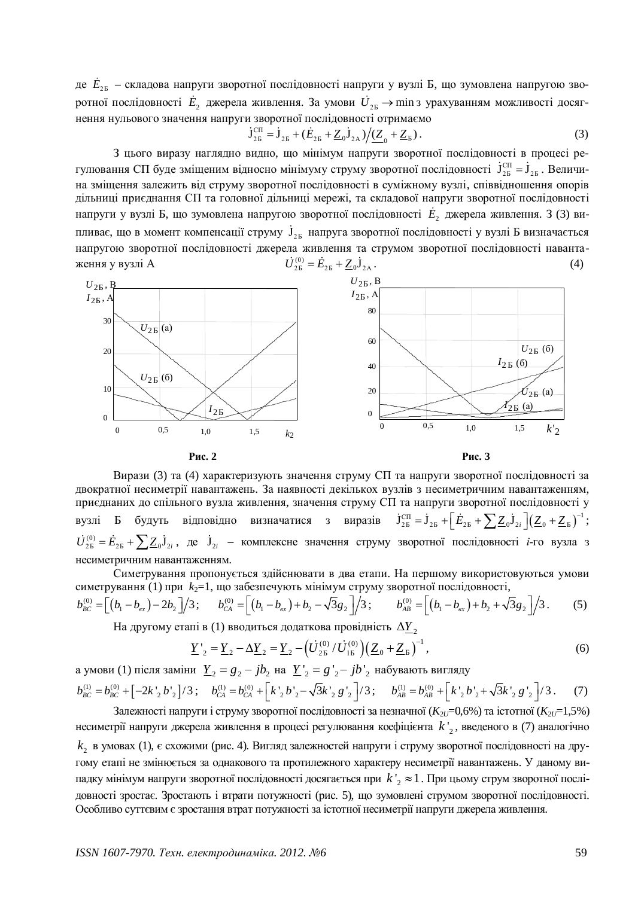де  $\dot{E}_{\rm 2E}$  – складова напруги зворотної послідовності напруги у вузлі Б, що зумовлена напругою зворотної послідовності  $\dot{E}_2$  джерела живлення. За умови  $\dot{U}_{\rm 25}$  → min з урахуванням можливості досягнення нульового значення напруги зворотної послідовності отримаємо

$$
\dot{\mathbf{J}}_{2\mathrm{B}}^{\mathrm{CII}} = \dot{\mathbf{J}}_{2\mathrm{B}} + (\dot{E}_{2\mathrm{B}} + \underline{Z}_0 \dot{\mathbf{J}}_{2\mathrm{A}}) / (\underline{Z}_0 + \underline{Z}_\mathrm{B}). \tag{3}
$$

З цього виразу наглядно видно, що мінімум напруги зворотної послідовності в процесі регулювання СП буде зміщеним відносно мінімуму струму зворотної послідовності  ${\bf j}^{\rm CH}_{\rm 2E}={\bf j}_{\rm 2E}$ . Величина зміщення залежить від струму зворотної послідовності в суміжному вузлі, співвідношення опорів диљниці приєднання СП та головної дільниці мережі, та складової напруги зворотної послідовності напруги у вузлі Б, що зумовлена напругою зворотної послідовності  $\dot{E}_2$  джерела живлення. З (3) випливає, що в момент компенсації струму  $\,\mathbf{j}_{\mathrm{2E}}\,$ напруга зворотної послідовності у вузлі Б визначається напругою зворотної послідовності джерела живлення та струмом зворотної послідовності навантаження у вузлі А  $\dot{U}_{25}^{(0)} = \dot{E}_{25} + \underline{Z}_0 \dot{J}_{2A}$  (4)





Вирази (3) та (4) характеризують значення струму СП та напруги зворотної послідовності за двократної несиметрії навантажень. За наявності декількох вузлів з несиметричним навантаженням, приєднаних до спільного вузла живлення, значення струму СП та напруги зворотної послідовності у вузлі Б будуть відповідно визначатися з виразів  $\dot{J}_{26}^{\text{CI}} = \dot{J}_{25} + \left[\dot{E}_{25} + \sum Z_0 \dot{J}_{2i}\right] \left(\underline{Z}_0 + \underline{Z}_5\right)^{-1};$  $\dot{U}_{25}^{(0)} = \dot{E}_{25} + \sum \underline{Z}_0 \dot{J}_{2i}$ , де  $\dot{J}_{2i}$  – комплексне значення струму зворотної послідовності *і*-го вузла з несиметричним навантаженням.

Симетрування пропонується здійснювати в два етапи. На першому використовуються умови симетрування (1) при k<sub>2</sub>=1, що забезпечують мінімум струму зворотної послідовності,

$$
b_{BC}^{(0)} = \left[ (b_1 - b_{\alpha x}) - 2b_2 \right] / 3; \qquad b_{CA}^{(0)} = \left[ (b_1 - b_{\alpha x}) + b_2 - \sqrt{3}g_2 \right] / 3; \qquad b_{AB}^{(0)} = \left[ (b_1 - b_{\alpha x}) + b_2 + \sqrt{3}g_2 \right] / 3. \tag{5}
$$

На другому етапі в (1) вводиться додаткова провідність  $\Delta\underline{Y}_2$ 

$$
\underline{Y'}_2 = \underline{Y}_2 - \Delta \underline{Y}_2 = \underline{Y}_2 - \left(\dot{U}_{2\text{B}}^{(0)}/\dot{U}_{1\text{B}}^{(0)}\right) \left(\underline{Z}_0 + \underline{Z}_{\text{B}}\right)^{-1},\tag{6}
$$

а умови (1) після заміни  $\underline{Y}_2 = g_2 - jb_2$  на  $\underline{Y'}_2 = g'_{2} - jb'_{2}$  набувають вигляду

$$
b_{BC}^{(1)} = b_{BC}^{(0)} + \left[ -2k'_{2}b'_{2} \right] / 3; \quad b_{CA}^{(1)} = b_{CA}^{(0)} + \left[ k'_{2}b'_{2} - \sqrt{3}k'_{2}g'_{2} \right] / 3; \quad b_{AB}^{(1)} = b_{AB}^{(0)} + \left[ k'_{2}b'_{2} + \sqrt{3}k'_{2}g'_{2} \right] / 3. \tag{7}
$$

Залежності напруги і струму зворотної послідовності за незначної  $(K_{2U}=0,6\%)$ та істотної  $(K_{2U}=1,5\%)$ несиметрії напруги джерела живлення в процесі регулювання коефіцієнта  $k'_{2}$ , введеного в (7) аналогічно  $k_{\rm _2}$  в умовах (1), є схожими (рис. 4). Вигляд залежностей напруги і струму зворотної послідовності на другому етапі не змінюється за однакового та протилежного характеру несиметрії навантажень. У даному випадку мінімум напруги зворотної послідовності досягається при  $\,k$ '<sub>2</sub>  $\approx$ 1. При цьому струм зворотної послідовності зростає. Зростають і втрати потужності (рис. 5), що зумовлені струмом зворотної послідовності. Особливо суттєвим є зростання втрат потужності за істотної несиметрії напруги джерела живлення.